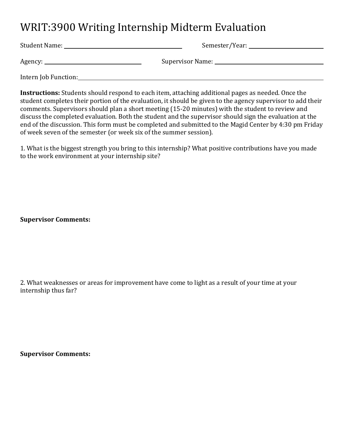## WRIT:3900 Writing Internship Midterm Evaluation

Student Name: Semester/Year: Agency: Supervisor Name: Intern Job Function:

**Instructions:** Students should respond to each item, attaching additional pages as needed. Once the student completes their portion of the evaluation, it should be given to the agency supervisor to add their comments. Supervisors should plan a short meeting (15-20 minutes) with the student to review and discuss the completed evaluation. Both the student and the supervisor should sign the evaluation at the end of the discussion. This form must be completed and submitted to the Magid Center by 4:30 pm Friday of week seven of the semester (or week six of the summer session).

1. What is the biggest strength you bring to this internship? What positive contributions have you made to the work environment at your internship site?

**Supervisor Comments:**

2. What weaknesses or areas for improvement have come to light as a result of your time at your internship thus far?

**Supervisor Comments:**